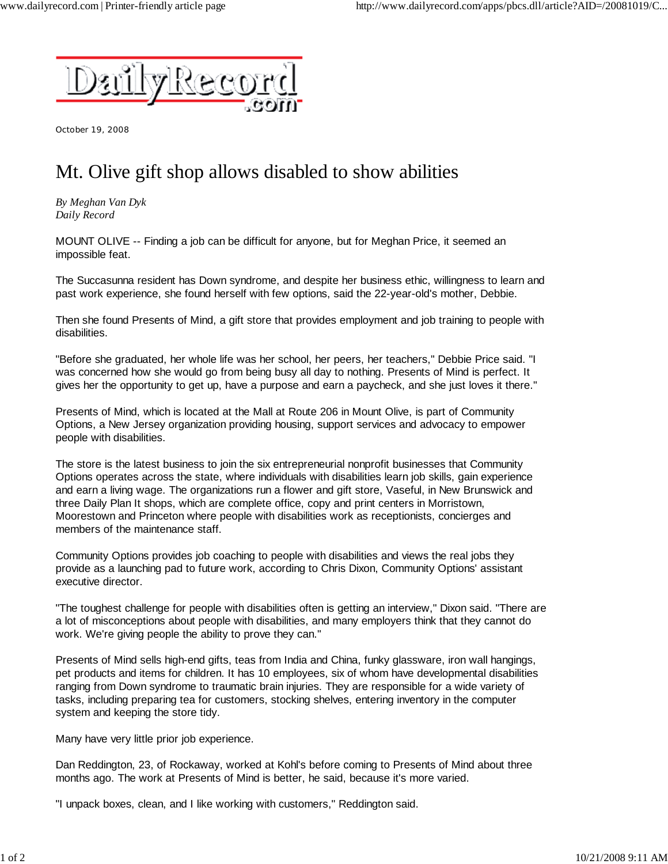

October 19, 2008

## Mt. Olive gift shop allows disabled to show abilities

*By Meghan Van Dyk Daily Record*

MOUNT OLIVE -- Finding a job can be difficult for anyone, but for Meghan Price, it seemed an impossible feat.

The Succasunna resident has Down syndrome, and despite her business ethic, willingness to learn and past work experience, she found herself with few options, said the 22-year-old's mother, Debbie.

Then she found Presents of Mind, a gift store that provides employment and job training to people with disabilities.

"Before she graduated, her whole life was her school, her peers, her teachers," Debbie Price said. "I was concerned how she would go from being busy all day to nothing. Presents of Mind is perfect. It gives her the opportunity to get up, have a purpose and earn a paycheck, and she just loves it there."

Presents of Mind, which is located at the Mall at Route 206 in Mount Olive, is part of Community Options, a New Jersey organization providing housing, support services and advocacy to empower people with disabilities.

The store is the latest business to join the six entrepreneurial nonprofit businesses that Community Options operates across the state, where individuals with disabilities learn job skills, gain experience and earn a living wage. The organizations run a flower and gift store, Vaseful, in New Brunswick and three Daily Plan It shops, which are complete office, copy and print centers in Morristown, Moorestown and Princeton where people with disabilities work as receptionists, concierges and members of the maintenance staff.

Community Options provides job coaching to people with disabilities and views the real jobs they provide as a launching pad to future work, according to Chris Dixon, Community Options' assistant executive director.

"The toughest challenge for people with disabilities often is getting an interview," Dixon said. "There are a lot of misconceptions about people with disabilities, and many employers think that they cannot do work. We're giving people the ability to prove they can."

Presents of Mind sells high-end gifts, teas from India and China, funky glassware, iron wall hangings, pet products and items for children. It has 10 employees, six of whom have developmental disabilities ranging from Down syndrome to traumatic brain injuries. They are responsible for a wide variety of tasks, including preparing tea for customers, stocking shelves, entering inventory in the computer system and keeping the store tidy.

Many have very little prior job experience.

Dan Reddington, 23, of Rockaway, worked at Kohl's before coming to Presents of Mind about three months ago. The work at Presents of Mind is better, he said, because it's more varied.

"I unpack boxes, clean, and I like working with customers," Reddington said.